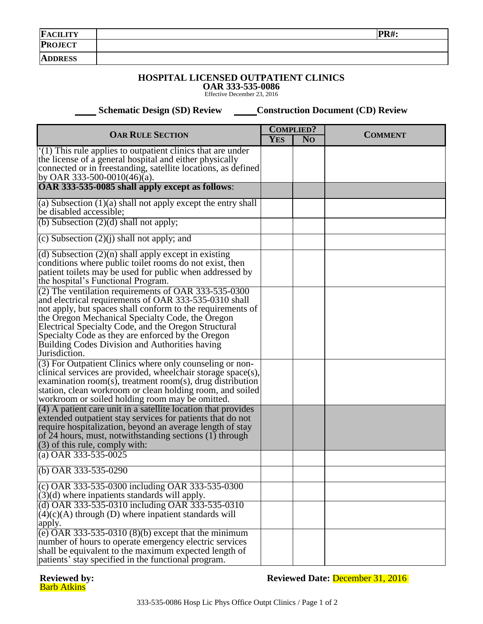| <b>FACILITY</b> | $\mathbf{D} \mathbf{D}$ . |
|-----------------|---------------------------|
| <b>PROJECT</b>  |                           |
| <b>ADDRESS</b>  |                           |

## **HOSPITAL LICENSED OUTPATIENT CLINICS OAR 333-535-0086**

Effective December 23, 2016

 **Schematic Design (SD) Review Construction Document (CD) Review** 

| <b>OAR RULE SECTION</b>                                                                             |  | <b>COMPLIED?</b> |                |
|-----------------------------------------------------------------------------------------------------|--|------------------|----------------|
|                                                                                                     |  | N <sub>O</sub>   | <b>COMMENT</b> |
| $(1)$ This rule applies to outpatient clinics that are under                                        |  |                  |                |
| the license of a general hospital and either physically                                             |  |                  |                |
| connected or in freestanding, satellite locations, as defined                                       |  |                  |                |
| by OAR 333-500-0010(46)(a).                                                                         |  |                  |                |
| OAR 333-535-0085 shall apply except as follows:                                                     |  |                  |                |
| (a) Subsection $(1)(a)$ shall not apply except the entry shall                                      |  |                  |                |
| be disabled accessible;                                                                             |  |                  |                |
| (b) Subsection $(2)(d)$ shall not apply;                                                            |  |                  |                |
| (c) Subsection $(2)(j)$ shall not apply; and                                                        |  |                  |                |
| (d) Subsection $(2)(n)$ shall apply except in existing                                              |  |                  |                |
| conditions where public toilet rooms do not exist, then                                             |  |                  |                |
| patient toilets may be used for public when addressed by                                            |  |                  |                |
| the hospital's Functional Program.                                                                  |  |                  |                |
| (2) The ventilation requirements of OAR 333-535-0300                                                |  |                  |                |
| and electrical requirements of OAR 333-535-0310 shall                                               |  |                  |                |
| not apply, but spaces shall conform to the requirements of                                          |  |                  |                |
| the Oregon Mechanical Specialty Code, the Oregon                                                    |  |                  |                |
| Electrical Specialty Code, and the Oregon Structural                                                |  |                  |                |
| Specialty Code as they are enforced by the Oregon<br>Building Codes Division and Authorities having |  |                  |                |
| Jurisdiction.                                                                                       |  |                  |                |
| (3) For Outpatient Clinics where only counseling or non-                                            |  |                  |                |
| clinical services are provided, wheelchair storage space(s),                                        |  |                  |                |
| examination room(s), treatment room(s), drug distribution                                           |  |                  |                |
| station, clean workroom or clean holding room, and soiled                                           |  |                  |                |
| workroom or soiled holding room may be omitted.                                                     |  |                  |                |
| (4) A patient care unit in a satellite location that provides                                       |  |                  |                |
| extended outpatient stay services for patients that do not                                          |  |                  |                |
| require hospitalization, beyond an average length of stay                                           |  |                  |                |
| of 24 hours, must, notwithstanding sections (1) through                                             |  |                  |                |
| $(3)$ of this rule, comply with:                                                                    |  |                  |                |
| (a) OAR $333 - 535 - 0025$                                                                          |  |                  |                |
| (b) OAR $333 - 535 - 0290$                                                                          |  |                  |                |
| (c) OAR 333-535-0300 including OAR 333-535-0300                                                     |  |                  |                |
| $(3)(d)$ where inpatients standards will apply.                                                     |  |                  |                |
| (d) OAR 333-535-0310 including OAR 333-535-0310                                                     |  |                  |                |
| $(4)(c)(A)$ through (D) where inpatient standards will                                              |  |                  |                |
| apply.                                                                                              |  |                  |                |
| (e) OAR $333-535-0310(8)(b)$ except that the minimum                                                |  |                  |                |
| number of hours to operate emergency electric services                                              |  |                  |                |
| shall be equivalent to the maximum expected length of                                               |  |                  |                |
| patients' stay specified in the functional program.                                                 |  |                  |                |

## **Reviewed by:**<br>**Barb Atkins**

**Reviewed by: Reviewed Date:** December 31, 2016